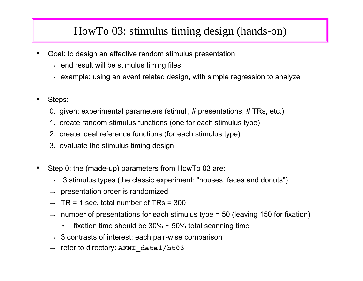## HowTo 03: stimulus timing design (hands-on)

- • Goal: to design an effective random stimulus presentation
	- $\rightarrow \;$  end result will be stimulus timing files
	- $\rightarrow$   $\,$  example: using an event related design, with simple regression to analyze  $\,$
- • Steps:
	- 0. given: experimental parameters (stimuli, # presentations, # TRs, etc.)
	- 1. create random stimulus functions (one for each stimulus t ype)
	- 2. create ideal r eference functions ( for each stimulus t y p e)
	- 3. evaluate the stimulus timing desig n
- •• Step 0: the (made-up) parameters from HowTo 03 are:
	- $\rightarrow$   $\,$  3 stimulus types (the classic experiment: "houses, faces and donuts")
	- $\rightarrow$   $\,$  presentation order is randomized
	- $\rightarrow$  TR = 1 sec, total number of TRs = 300
	- $\rightarrow$   $\,$  number of presentations for each stimulus type = 50 (leaving 150 for fixation)
		- •fixation time should be  $30\% \sim 50\%$  total scanning time
	- $\rightarrow$   $\,$  3 contrasts of interest: each pair-wise comparison
	- → refer to directory: **AFNI\_data1/ht03**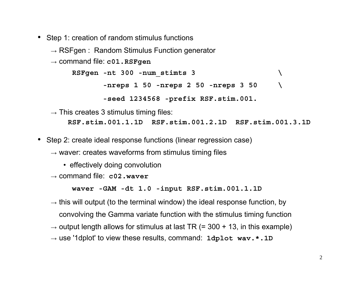- • Step 1: creation of random stimulus functions
	- $\rightarrow$  RSFgen: Random Stimulus Function generator
	- → command file: **c01.RSFgen**

```
RSFgen -nt 300 -num_stimts 3 \
-nreps 1 50 -nreps 2 50 -nreps 3 50 \
-seed 1234568 -prefix RSF.stim.001.
```
- $\rightarrow$  This creates 3 stimulus timing files: **RSF.stim.001.1.1D RSF.stim.001.2.1D RSF.stim.001.3.1D**
- • Step 2: create ideal response functions (linear regression case)
	- $\rightarrow$  waver: creates waveforms from stimulus timing files
		- effectively doing convolution
	- → command file: **c02.waver**

**waver -GAM -dt 1.0 -input RSF.stim.001.1.1D**

- $\rightarrow$  this will output (to the terminal window) the ideal response function, by convolving the Gamma variate function with the stimulus timing function
- $\rightarrow$  output length allows for stimulus at last TR (= 300 + 13, in this example)
- $\rightarrow$  use '1dplot' to view these results, command: <code>1dplot wav.\*.1D</code>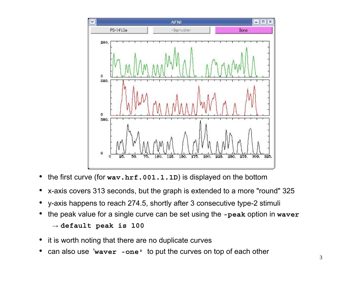

- •the first curve (for **wav.hrf.001.1.1D**) is displayed on the bottom
- •x-axis covers 313 seconds, but the graph is extended to a more "round" 325
- •y-axis happens to reach 274.5, shortly after 3 consecutive type-2 stimuli
- • the peak value for a single curve can be set using the **-peak** option in **waver** → **default peak is 100**
- •it is worth noting that there are no duplicate curves
- •can also use '**waver -one'** to put the curves on top of each other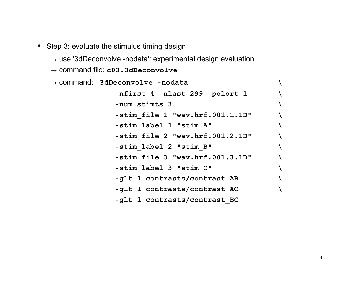- Step 3: evaluate the stimulus timing design
	- $\rightarrow$  use '3dDeconvolve -nodata': experimental design evaluation
	- → command file: **c03.3dDeconvolve**

| $\rightarrow$ command: 3dDeconvolve -nodata |  |
|---------------------------------------------|--|
| -nfirst 4 -nlast 299 -polort 1              |  |
| -num stimts 3                               |  |
| -stim file 1 "wav.hrf.001.1.1D"             |  |
| -stim label 1 "stim A"                      |  |
| -stim file 2 "wav.hrf.001.2.1D"             |  |
| -stim label 2 "stim B"                      |  |
| -stim file 3 "wav.hrf.001.3.1D"             |  |
| -stim label 3 "stim C"                      |  |
| -glt 1 contrasts/contrast AB                |  |
| -glt 1 contrasts/contrast AC                |  |
| -glt 1 contrasts/contrast BC                |  |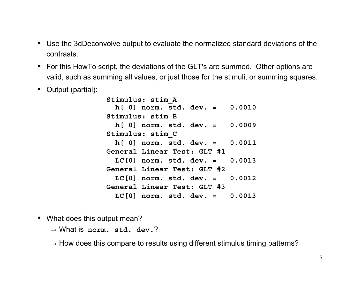- Use the 3dDeconvolve output to evaluate the normalized standard deviations of the contrasts.
- For this HowTo script, the deviations of the GLT's are summed. Other options are valid, such as summing all values, or just those for the stimuli, or summing squares.
- $\bullet$ Output (partial):

**Stimulus: stim\_A h[ 0] norm. std. dev. = 0.0010 Stimulus: stim\_B h[ 0] norm. std. dev. = 0.0009 Stimulus: stim\_C h[ 0] norm. std. dev. = 0.0011 General Linear Test: GLT #1 LC[0] norm. std. dev. = 0.0013 General Linear Test: GLT #2 LC[0] norm. std. dev. = 0.0012 General Linear Test: GLT #3 LC[0] norm. std. dev. = 0.0013**

- What does this output mean?
	- → What is **norm. std. dev.**?

 $\rightarrow$  How does this compare to results using different stimulus timing patterns?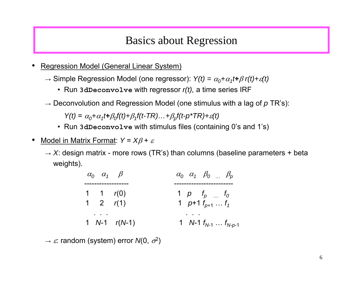## Basics about Regression

- •• Regression Model (General Linear System)
	- $\rightarrow$  Simple Regression Model (one regressor):  $\mathsf{Y}(t) = \alpha_{0} + \alpha_{1}t + \beta \; \mathsf{r}(t) + \varepsilon(t)$ 
		- Run **3dDeconvolve** with regressor *r(t),*  a time series IRF
	- → Deconvolution and Regression Model (one stimulus with a lag of *p* TR's):

*Y(t)* <sup>=</sup> <sup>α</sup>*0+* <sup>α</sup>*1t+*β*0f(t)+*β*1f(t-TR)…+*β*pf(t-p\*TR)+* <sup>ε</sup>*(t)*

- Run **3dDeconvolve** with stimulus files ( containing 0's and 1's)
- • Model in Matrix Format: *Y* = *X*β <sup>+</sup> ε
	- $\rightarrow$  *X*: design matrix more rows (TR's) than columns (baseline parameters + beta weights).

| $\alpha_0$ $\alpha_1$ $\beta$ |                  | $\alpha_0 \alpha_1 \beta_0 \dots \beta_p$                      |
|-------------------------------|------------------|----------------------------------------------------------------|
| 1 1 $r(0)$<br>1 2 $r(1)$      |                  | 1 $p$ $t_p$ $\ldots$ $t_0$<br>1 $p+1$ $t_{p+1}$ $\ldots$ $t_1$ |
|                               | 1 $N-1$ $r(N-1)$ | 1 $N-1$ $f_{N-1}$ $\ldots$ $f_{N-p-1}$                         |

 $\rightarrow$   $\varepsilon$ : random (system) error *N*(0,  $\sigma^2$ )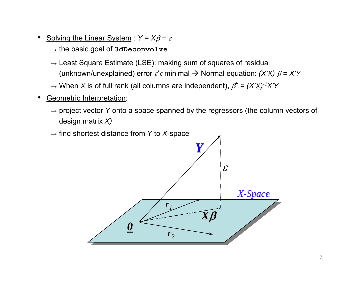- •Solving the Linear System :  $Y = X\beta + \varepsilon$ 
	- → the basic goal of **3dDeconvolve**
	- $\rightarrow$  Least Square Estimate (LSE): making sum of squares of residual (unknown/unexplained) error  $\varepsilon' \varepsilon$  minimal  $\rightarrow$  Normal equation: *(X'X)*  $\beta = X'Y$
	- → When *X* is of full rank (all columns are independent), β**^** <sup>=</sup>*(X'X)-1X'Y*
- • Geometric Interpretation:
	- → project vector *Y* onto a space spanned by the regressors (the column vectors of design matrix *X)*

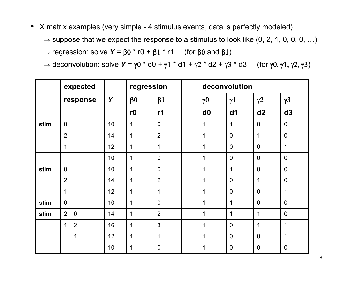- X matrix examples (very simple 4 stimulus events, data is perfectly modeled)
	- $\rightarrow$  suppose that we expect the response to a stimulus to look like (0, 2, 1, 0, 0, 0, …)
	- $\rightarrow$  regression: solve **Y** = β0 \* r0 + β1 \* r1  $\,$  (for β0 and β1)
	- $\rightarrow$  deconvolution: solve **Y** =  $\gamma$ 0 \* d0 +  $\gamma$ 1 \* d1 +  $\gamma$ 2 \* d2 +  $\gamma$ 3 \* d3  $\quad$  (for  $\gamma$ 0,  $\gamma$ 1,  $\gamma$ 2,  $\gamma$ 3)

|      | expected                       |    | regression           |                  | deconvolution |                       |                |                       |                |
|------|--------------------------------|----|----------------------|------------------|---------------|-----------------------|----------------|-----------------------|----------------|
|      | response                       | Y  | $\beta$ <sup>0</sup> | $\beta$ 1        |               | $\gamma$ <sup>0</sup> | $\gamma$ 1     | $\gamma$ <sup>2</sup> | $\gamma$ 3     |
|      |                                |    | r0                   | r1               |               | d0                    | dd1            | d2                    | d3             |
| stim | $\mathbf 0$                    | 10 | 1                    | $\boldsymbol{0}$ |               | 1                     | 1              | $\mathbf 0$           | $\mathbf 0$    |
|      | $\overline{2}$                 | 14 | $\mathbf 1$          | $\overline{2}$   |               | $\mathbf 1$           | $\overline{0}$ | 1                     | $\overline{0}$ |
|      | 1                              | 12 | 1                    | $\mathbf 1$      |               | 1                     | $\mathbf 0$    | $\mathbf 0$           | 1              |
|      |                                | 10 | 1                    | $\mathbf 0$      |               | 1                     | $\overline{0}$ | $\mathbf 0$           | $\overline{0}$ |
| stim | $\mathbf 0$                    | 10 | 1                    | $\overline{0}$   |               | 1                     | 1              | $\overline{0}$        | $\overline{0}$ |
|      | $\overline{2}$                 | 14 | 1                    | $\overline{2}$   |               | 1                     | $\mathbf 0$    | 1                     | $\mathbf 0$    |
|      | 1                              | 12 | $\mathbf 1$          | $\overline{1}$   |               | 1                     | $\overline{0}$ | $\overline{0}$        | 1              |
| stim | $\mathbf 0$                    | 10 | $\mathbf{1}$         | $\overline{0}$   |               | 1                     | 1              | $\mathbf 0$           | $\overline{0}$ |
| stim | $\overline{2}$<br>$\mathbf 0$  | 14 | 1                    | $\overline{2}$   |               | 1                     | $\mathbf 1$    | $\mathbf 1$           | $\mathbf 0$    |
|      | $\overline{2}$<br>$\mathbf{1}$ | 16 | $\mathbf 1$          | 3                |               | 1                     | $\overline{0}$ | 1                     | $\mathbf 1$    |
|      | 1                              | 12 | $\mathbf 1$          | $\mathbf 1$      |               | 1                     | $\mathbf 0$    | $\mathbf 0$           | 1              |
|      |                                | 10 | 1                    | $\mathbf 0$      |               | 1                     | $\mathbf 0$    | $\overline{0}$        | $\overline{0}$ |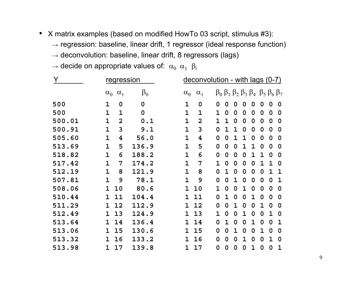- X matrix examples (based on modified HowTo 03 script, stimulus #3):
	- $\rightarrow$  regression: baseline, linear drift, 1 regressor (ideal response function)
	- $\rightarrow$  deconvolution: baseline, linear drift, 8 regressors (lags)
	- $\rightarrow$  decide on appropriate values of:  $\,\alpha_0^{}\,\,\alpha_1^{}\,\, \beta_0^{}$

|        | regression   |                |           |              | $deconvolution - with lags (0-7)$ |              |              |             |             |   |                  |                                                                                 |             |
|--------|--------------|----------------|-----------|--------------|-----------------------------------|--------------|--------------|-------------|-------------|---|------------------|---------------------------------------------------------------------------------|-------------|
|        | $\alpha_0$   | $\alpha_1$     | $\beta_0$ | $\alpha_0$   | $\alpha_1$                        |              |              |             |             |   |                  | $\beta_0$ $\beta_1$ $\beta_2$ $\beta_3$ $\beta_4$ $\beta_5$ $\beta_6$ $\beta_7$ |             |
| 500    | 1            | 0              | 0         | 1            | 0                                 | 0            | 0            | 0           | 0           | 0 | 0                | 0                                                                               | 0           |
| 500    | $\mathbf{1}$ | $\mathbf{1}$   | 0         | $\mathbf 1$  | 1                                 | 1            | 0            | 0           | $\mathbf 0$ | 0 | $\boldsymbol{0}$ | 0                                                                               | 0           |
| 500.01 | 1            | $\overline{2}$ | 0.1       | $\mathbf 1$  | $\overline{2}$                    | 1            | $\mathbf{1}$ | 0           | 0           | 0 | 0                | 0                                                                               | 0           |
| 500.91 | 1            | 3              | 9.1       | 1            | 3                                 | 0            | 1            | 1           | 0           | 0 | $\mathbf 0$      | 0                                                                               | 0           |
| 505.60 | 1            | 4              | 56.0      | $\mathbf 1$  | 4                                 | 0            | 0            | $\mathbf 1$ | 1           | 0 | 0                | 0                                                                               | 0           |
| 513.69 | 1            | 5              | 136.9     | 1            | 5                                 | 0            | 0            | 0           | 1           | 1 | $\mathbf 0$      | 0                                                                               | 0           |
| 518.82 | 1            | 6              | 188.2     | 1            | 6                                 | 0            | 0            | $\mathbf 0$ | 0           | 1 | 1                | 0                                                                               | 0           |
| 517.42 | 1            | 7              | 174.2     | $\mathbf 1$  | 7                                 | $\mathbf{1}$ | 0            | $\mathbf 0$ | 0           | 0 | 1                | 1                                                                               | 0           |
| 512.19 | 1            | 8              | 121.9     | 1            | 8                                 | 0            | $\mathbf 1$  | 0           | 0           | 0 | 0                | 1                                                                               | $\mathbf 1$ |
| 507.81 | 1            | 9              | 78.1      | $\mathbf{1}$ | 9                                 | 0            | 0            | 1           | 0           | 0 | 0                | 0                                                                               | 1           |
| 508.06 | 1            | 10             | 80.6      | 1            | 10                                | 1            | 0            | $\mathbf 0$ | 1           | 0 | $\mathbf 0$      | 0                                                                               | 0           |
| 510.44 | 1            | 11             | 104.4     | 1            | 11                                | 0            | 1            | 0           | 0           | 1 | $\mathbf 0$      | 0                                                                               | 0           |
| 511.29 | 1            | 12             | 112.9     | 1            | 12                                | 0            | 0            | 1           | 0           | 0 | 1                | $\mathbf 0$                                                                     | 0           |
| 512.49 | 1            | 13             | 124.9     | 1            | 13                                | 1            | 0            | 0           | 1           | 0 | 0                | 1                                                                               | 0           |
| 513.64 | 1            | 14             | 136.4     | 1            | 14                                | 0            | 1            | 0           | 0           | 1 | 0                | 0                                                                               | 1           |
| 513.06 | 1            | 15             | 130.6     | 1            | 15                                | 0            | 0            | 1           | $\mathbf 0$ | 0 | 1                | 0                                                                               | 0           |
| 513.32 | 1            | 16             | 133.2     | 1            | 16                                | 0            | 0            | 0           | 1           | 0 | 0                | 1                                                                               | 0           |
| 513.98 | 1            | 17             | 139.8     | 1            | 17                                | 0            | 0            | 0           | 0           | 1 | 0                | 0                                                                               | $\mathbf 1$ |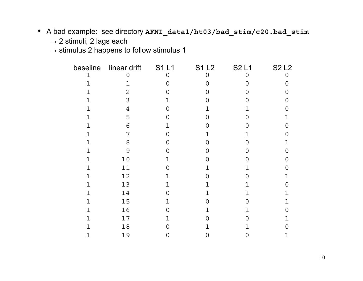- A bad example: see directory **AFNI\_data1/ht03/bad\_stim/c20.bad\_stim**
	- $\rightarrow$  2 stimuli, 2 lags each

 $\rightarrow$  stimulus 2 happens to follow stimulus 1

| baseline    | linear drift   | <b>S1L1</b> | <b>S1L2</b> | <b>S2L1</b> | <b>S2L2</b> |
|-------------|----------------|-------------|-------------|-------------|-------------|
| $\mathbf 1$ | 0              | 0           | 0           | 0           |             |
| 1           | 1              |             | 0           | Ω           | 0           |
| 1.          | $\overline{2}$ |             | ∩           | 0           | 0           |
| 1           | 3              | 1           | 0           | Ω           | O           |
| 1           | $\overline{4}$ | O           | $\mathbf 1$ | 1           | 0           |
|             | 5              | O           | 0           | 0           | 1           |
| 1           | 6              | 1           | 0           | Ω           | 0           |
| 1           | 7              | Ω           | 1           |             | Ω           |
| 1           | 8              | $\Omega$    | 0           | ∩           | 1           |
| 1           | 9              | ∩           | 0           | O           | 0           |
| 1           | $10$           | 1           | 0           | 0           | 0           |
| 1           | 11             | O           | 1           | 1           | ი           |
| 1           | 12             |             | ∩           | O           | 1           |
| $\mathbf 1$ | 13             | 1           | 1           | 1           | 0           |
| $\mathbf 1$ | 14             | O           | 1           | 1           | $\mathbf 1$ |
| 1           | 15             | 1           | 0           | ი           | 1           |
| 1           | 16             | O           | 1           | 1           | 0           |
|             | 17             | 1           | ∩           | 0           | 1           |
| 1           | 18             | Ω           | 1           | 1           | ∩           |
|             | 19             |             | 0           | Ω           | 1           |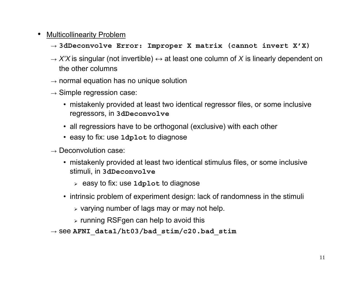## •Multicollinearity Problem

- → **3dDeconvolve Error: Improper X matrix (cannot invert X'X)**
- → *X'X* is singular (not invertible) **<sup>↔</sup>** at least one column of *X* is linearly dependent on the other columns
- $\rightarrow$  normal equation has no unique solution
- $\rightarrow$  Simple regression case:
	- mistakenly provided at least two identical regressor files, or some inclusive regressors, in **3dDeconvolve**
	- all regressiors have to be orthogonal (exclusive) with each other
	- easy to fix: use **1dplot** to diagnose
- $\rightarrow$  Deconvolution case:
	- mistakenly provided at least two identical stimulus files, or some inclusive stimuli, in **3dDeconvolve**
		- ¾ easy to fix: use **1dplot** to diagnose
	- intrinsic problem of experiment design: lack of randomness in the stimuli
		- $\triangleright$  varying number of lags may or may not help.
		- $\triangleright$  running RSFgen can help to avoid this
- → see **AFNI\_data1/ht03/bad\_stim/c20.bad\_stim**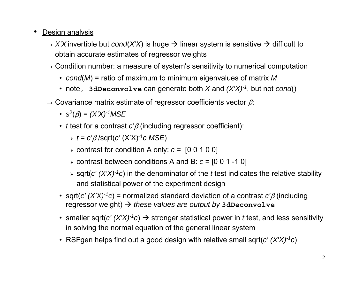- • Design analysis
	- $\rightarrow$  *X'X* invertible but *cond*(*X'X*) is huge  $\rightarrow$  linear system is sensitive  $\rightarrow$  difficult to obtain accurate estimates of regressor weights
	- $\rightarrow$  Condition number: a measure of system's sensitivity to numerical computation
		- *cond*(*M*) = ratio of maximum to minimum eigenvalues of matrix *M*
		- note, **3dDeconvolve** can generate both *X* and *(X'X)-1*, but not *cond*()
	- $\rightarrow$  Covariance matrix estimate of regressor coefficients vector  $\beta$ :
		- *<sup>s</sup>*2(β) = *(X'X)-1MSE*
		- *t* test for a contrast *c'*β (including regressor coefficient):

¾ *<sup>t</sup>* <sup>=</sup>*c'*β /sqrt(*c'* (X'X)-1*c MSE*)

- ¾ contrast for condition A only: *<sup>c</sup>* = [0 0 1 0 0]
- ¾ contrast between conditions A and B: *<sup>c</sup>* = [0 0 1 -1 0]
- ¾ sqrt(*c' (X'X)-1c*) in the denominator of the *<sup>t</sup>* test indicates the relative stability and statistical power of the experiment design
- sqrt(*c' (X'X)-1c*) = normalized standard deviation of a contrast *c'*β (including regressor weight)  $\rightarrow$  *these values are output by* **3dDeconvolve**
- smaller sqrt( $c'$   $(X'X)^{-1}c$ )  $\rightarrow$  stronger statistical power in *t* test, and less sensitivity in solving the normal equation of the general linear system
- RSFgen helps find out a good design with relative small sqrt(*c' (X'X)-1c*)